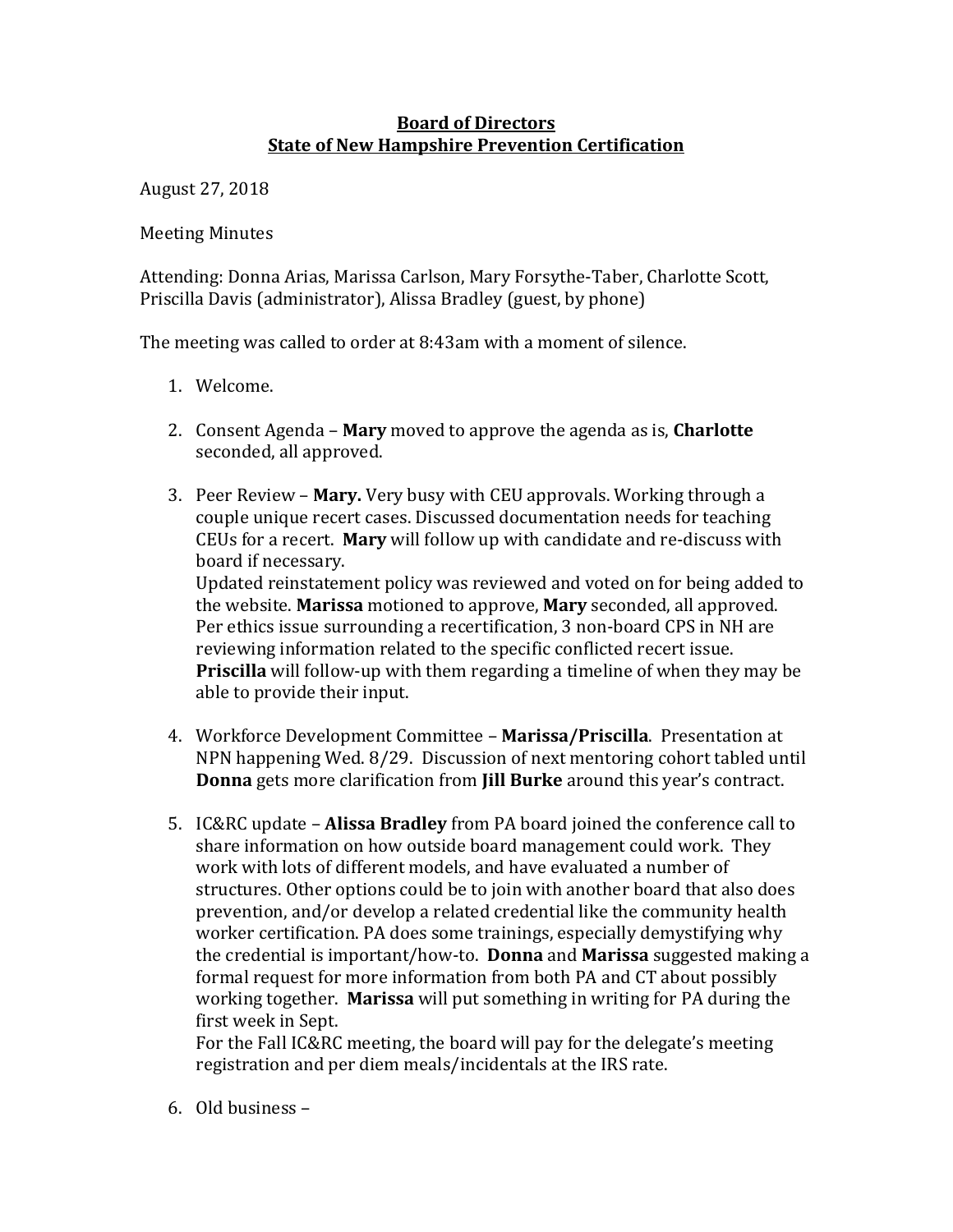## **Board of Directors State of New Hampshire Prevention Certification**

August 27, 2018 

**Meeting Minutes** 

Attending: Donna Arias, Marissa Carlson, Mary Forsythe-Taber, Charlotte Scott, Priscilla Davis (administrator), Alissa Bradley (guest, by phone)

The meeting was called to order at 8:43am with a moment of silence.

- 1. Welcome.
- 2. Consent Agenda **Mary** moved to approve the agenda as is, **Charlotte** seconded, all approved.
- 3. Peer Review **Mary.** Very busy with CEU approvals. Working through a couple unique recert cases. Discussed documentation needs for teaching CEUs for a recert. Mary will follow up with candidate and re-discuss with board if necessary.

Updated reinstatement policy was reviewed and voted on for being added to the website. Marissa motioned to approve, Mary seconded, all approved. Per ethics issue surrounding a recertification, 3 non-board CPS in NH are reviewing information related to the specific conflicted recert issue. **Priscilla** will follow-up with them regarding a timeline of when they may be able to provide their input.

- 4. Workforce Development Committee Marissa/Priscilla. Presentation at NPN happening Wed. 8/29. Discussion of next mentoring cohort tabled until **Donna** gets more clarification from **Jill Burke** around this year's contract.
- 5. IC&RC update **Alissa Bradley** from PA board joined the conference call to share information on how outside board management could work. They work with lots of different models, and have evaluated a number of structures. Other options could be to join with another board that also does prevention, and/or develop a related credential like the community health worker certification. PA does some trainings, especially demystifying why the credential is important/how-to. **Donna** and **Marissa** suggested making a formal request for more information from both PA and CT about possibly working together. **Marissa** will put something in writing for PA during the first week in Sept.

For the Fall IC&RC meeting, the board will pay for the delegate's meeting registration and per diem meals/incidentals at the IRS rate.

 $6.$  Old business –